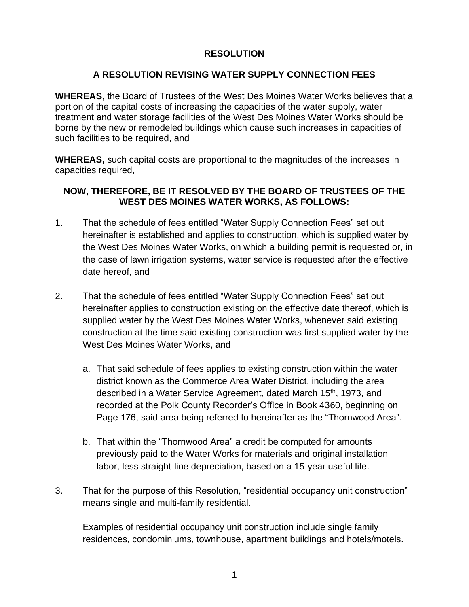# **RESOLUTION**

# **A RESOLUTION REVISING WATER SUPPLY CONNECTION FEES**

**WHEREAS,** the Board of Trustees of the West Des Moines Water Works believes that a portion of the capital costs of increasing the capacities of the water supply, water treatment and water storage facilities of the West Des Moines Water Works should be borne by the new or remodeled buildings which cause such increases in capacities of such facilities to be required, and

**WHEREAS,** such capital costs are proportional to the magnitudes of the increases in capacities required,

# **NOW, THEREFORE, BE IT RESOLVED BY THE BOARD OF TRUSTEES OF THE WEST DES MOINES WATER WORKS, AS FOLLOWS:**

- 1. That the schedule of fees entitled "Water Supply Connection Fees" set out hereinafter is established and applies to construction, which is supplied water by the West Des Moines Water Works, on which a building permit is requested or, in the case of lawn irrigation systems, water service is requested after the effective date hereof, and
- 2. That the schedule of fees entitled "Water Supply Connection Fees" set out hereinafter applies to construction existing on the effective date thereof, which is supplied water by the West Des Moines Water Works, whenever said existing construction at the time said existing construction was first supplied water by the West Des Moines Water Works, and
	- a. That said schedule of fees applies to existing construction within the water district known as the Commerce Area Water District, including the area described in a Water Service Agreement, dated March 15<sup>th</sup>, 1973, and recorded at the Polk County Recorder's Office in Book 4360, beginning on Page 176, said area being referred to hereinafter as the "Thornwood Area".
	- b. That within the "Thornwood Area" a credit be computed for amounts previously paid to the Water Works for materials and original installation labor, less straight-line depreciation, based on a 15-year useful life.
- 3. That for the purpose of this Resolution, "residential occupancy unit construction" means single and multi-family residential.

Examples of residential occupancy unit construction include single family residences, condominiums, townhouse, apartment buildings and hotels/motels.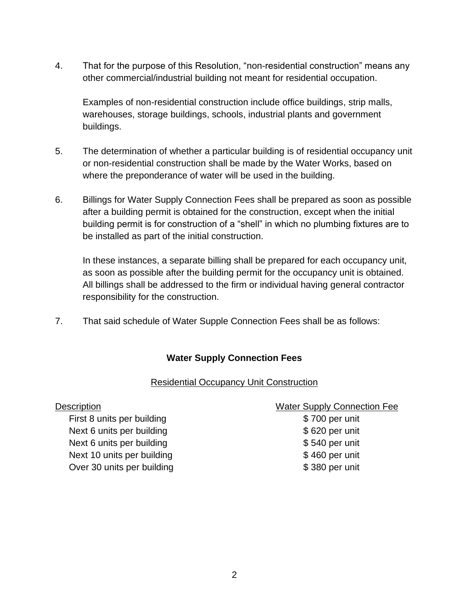4. That for the purpose of this Resolution, "non-residential construction" means any other commercial/industrial building not meant for residential occupation.

Examples of non-residential construction include office buildings, strip malls, warehouses, storage buildings, schools, industrial plants and government buildings.

- 5. The determination of whether a particular building is of residential occupancy unit or non-residential construction shall be made by the Water Works, based on where the preponderance of water will be used in the building.
- 6. Billings for Water Supply Connection Fees shall be prepared as soon as possible after a building permit is obtained for the construction, except when the initial building permit is for construction of a "shell" in which no plumbing fixtures are to be installed as part of the initial construction.

In these instances, a separate billing shall be prepared for each occupancy unit, as soon as possible after the building permit for the occupancy unit is obtained. All billings shall be addressed to the firm or individual having general contractor responsibility for the construction.

7. That said schedule of Water Supple Connection Fees shall be as follows:

# **Water Supply Connection Fees**

#### Residential Occupancy Unit Construction

First 8 units per building the state of the State State State State State State State State State State State S Next 6 units per building and the set of the set of \$620 per unit Next 6 units per building Next 6 units per unit Next 10 units per building and the state of  $$ 460$  per unit Over 30 units per building the state of the \$380 per unit

#### Description Water Supply Connection Fee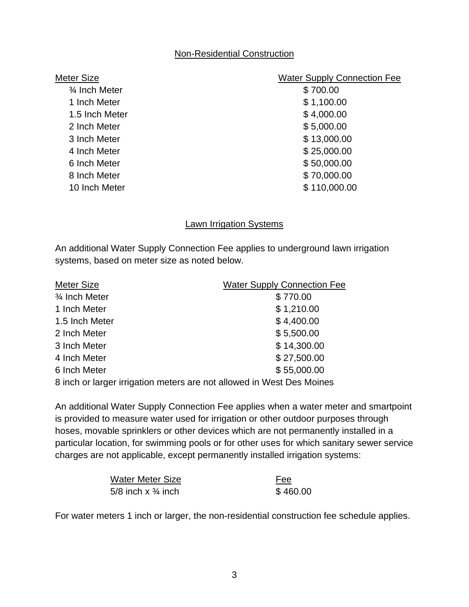### Non-Residential Construction

| Meter Size               | <b>Water Supply Connection Fee</b> |
|--------------------------|------------------------------------|
| $\frac{3}{4}$ Inch Meter | \$700.00                           |
| 1 Inch Meter             | \$1,100.00                         |
| 1.5 Inch Meter           | \$4,000.00                         |
| 2 Inch Meter             | \$5,000.00                         |
| 3 Inch Meter             | \$13,000.00                        |
| 4 Inch Meter             | \$25,000.00                        |
| 6 Inch Meter             | \$50,000.00                        |
| 8 Inch Meter             | \$70,000.00                        |
| 10 Inch Meter            | \$110,000.00                       |
|                          |                                    |

# **Lawn Irrigation Systems**

An additional Water Supply Connection Fee applies to underground lawn irrigation systems, based on meter size as noted below.

| Meter Size                                                            | <b>Water Supply Connection Fee</b> |
|-----------------------------------------------------------------------|------------------------------------|
| 3⁄4 Inch Meter                                                        | \$770.00                           |
| 1 Inch Meter                                                          | \$1,210.00                         |
| 1.5 Inch Meter                                                        | \$4,400.00                         |
| 2 Inch Meter                                                          | \$5,500.00                         |
| 3 Inch Meter                                                          | \$14,300.00                        |
| 4 Inch Meter                                                          | \$27,500.00                        |
| 6 Inch Meter                                                          | \$55,000.00                        |
| 8 inch or larger irrigation meters are not allowed in West Des Moines |                                    |

An additional Water Supply Connection Fee applies when a water meter and smartpoint is provided to measure water used for irrigation or other outdoor purposes through hoses, movable sprinklers or other devices which are not permanently installed in a particular location, for swimming pools or for other uses for which sanitary sewer service charges are not applicable, except permanently installed irrigation systems:

| Water Meter Size              | <b>Fee</b> |
|-------------------------------|------------|
| 5/8 inch x $\frac{3}{4}$ inch | \$460.00   |

For water meters 1 inch or larger, the non-residential construction fee schedule applies.